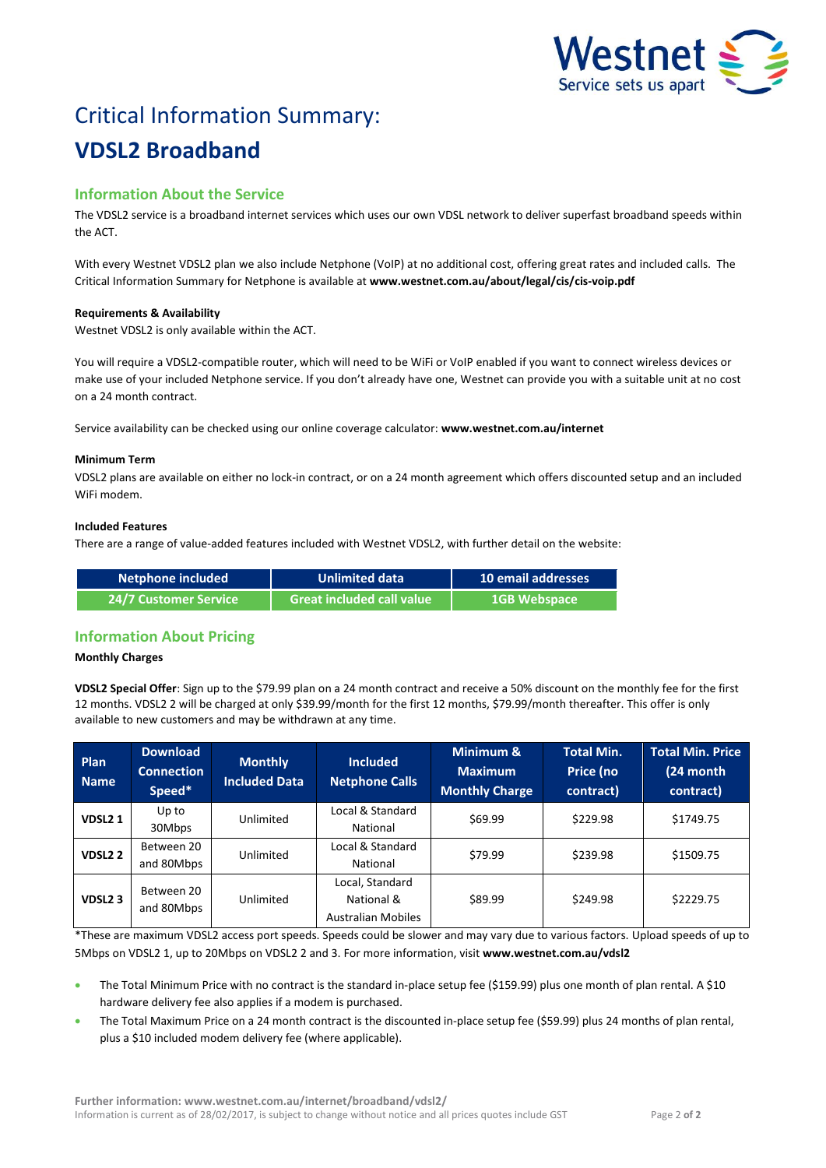

# Critical Information Summary: **VDSL2 Broadband**

# **Information About the Service**

The VDSL2 service is a broadband internet services which uses our own VDSL network to deliver superfast broadband speeds within the ACT.

With every Westnet VDSL2 plan we also include Netphone (VoIP) at no additional cost, offering great rates and included calls. The Critical Information Summary for Netphone is available at **www.westnet.com.au/about/legal/cis/cis-voip.pdf**

# **Requirements & Availability**

Westnet VDSL2 is only available within the ACT.

You will require a VDSL2-compatible router, which will need to be WiFi or VoIP enabled if you want to connect wireless devices or make use of your included Netphone service. If you don't already have one, Westnet can provide you with a suitable unit at no cost on a 24 month contract.

Service availability can be checked using our online coverage calculator: **www.westnet.com.au/internet**

### **Minimum Term**

VDSL2 plans are available on either no lock-in contract, or on a 24 month agreement which offers discounted setup and an included WiFi modem.

### **Included Features**

There are a range of value-added features included with Westnet VDSL2, with further detail on the website:

| Netphone included     | <b>Unlimited data</b>     | 10 email addresses  |  |
|-----------------------|---------------------------|---------------------|--|
| 24/7 Customer Service | Great included call value | <b>1GB Webspace</b> |  |

# **Information About Pricing**

#### **Monthly Charges**

**VDSL2 Special Offer**: Sign up to the \$79.99 plan on a 24 month contract and receive a 50% discount on the monthly fee for the first 12 months. VDSL2 2 will be charged at only \$39.99/month for the first 12 months, \$79.99/month thereafter. This offer is only available to new customers and may be withdrawn at any time.

| Plan<br><b>Name</b> | <b>Download</b><br><b>Connection</b><br>Speed* | <b>Monthly</b><br><b>Included Data</b> | <b>Included</b><br><b>Netphone Calls</b>                   | Minimum &<br><b>Maximum</b><br><b>Monthly Charge</b> | <b>Total Min.</b><br>Price (no<br>contract) | <b>Total Min. Price</b><br>$(24$ month<br>contract) |
|---------------------|------------------------------------------------|----------------------------------------|------------------------------------------------------------|------------------------------------------------------|---------------------------------------------|-----------------------------------------------------|
| VDSL <sub>21</sub>  | Up to<br>30Mbps                                | Unlimited                              | Local & Standard<br>National                               | \$69.99                                              | \$229.98                                    | \$1749.75                                           |
| VDSL <sub>2</sub> 2 | Between 20<br>and 80Mbps                       | Unlimited                              | Local & Standard<br>National                               | \$79.99                                              | \$239.98                                    | \$1509.75                                           |
| VDSL <sub>23</sub>  | Between 20<br>and 80Mbps                       | Unlimited                              | Local, Standard<br>National &<br><b>Australian Mobiles</b> | \$89.99                                              | \$249.98                                    | \$2229.75                                           |

\*These are maximum VDSL2 access port speeds. Speeds could be slower and may vary due to various factors. Upload speeds of up to 5Mbps on VDSL2 1, up to 20Mbps on VDSL2 2 and 3. For more information, visit **www.westnet.com.au/vdsl2**

- The Total Minimum Price with no contract is the standard in-place setup fee (\$159.99) plus one month of plan rental. A \$10 hardware delivery fee also applies if a modem is purchased.
- The Total Maximum Price on a 24 month contract is the discounted in-place setup fee (\$59.99) plus 24 months of plan rental, plus a \$10 included modem delivery fee (where applicable).